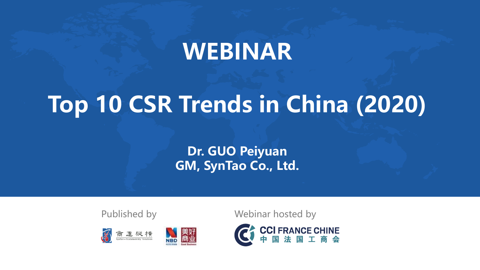# **WEBINAR**

# **Top 10 CSR Trends in China (2020)**

**Dr. GUO Peiyuan GM, SynTao Co., Ltd.**



Published by Webinar hosted by

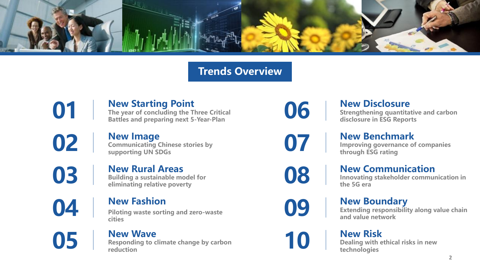

### **Trends Overview**

**New Starting Point O1 The year of concluding the Three Critical**<br>Battles and preparing next 5-Year-Plan

**New Image COLUTER SUPPORT COMMUNIST SUPPORT OF SUPPORT COMMUNIST SUPPORT OF SUPPORT OF SUPPORT OF SUPPORT OF SUPPORT OF SUPPORT OF SUPPORT OF SUPPORT OF SUPPORT OF SUPPORT OF SUPPORT OF SUPPORT OF SUPPORT OF SUPPORT OF SUPPORT OF S** 

**New Rural Areas Building a sustainable model for 03 eliminating relative poverty** 

**New Fashion Piloting waste sorting and zero-waste cities** 

**New Wave 05 Responding to climate change by carbon reduction** 

**New Disclosure** 

**O6 New DISClOSUre**<br>**Strengthening quantitative and carbon disclosure in ESG Reports** 

**New Benchmark**

**1898 IMEN BENCHMARK**<br> **Improving governance of companies**<br> **CITY through ESG rating** 

**New Communication**

**ID8 Innovating stakeholder communication in** <br> **108 the 5G era** 

**New Boundary**

**Extending responsibility along value chain 09 and value network**

**New Risk 10 Dealing with ethical risks in new <b>dechnologies** 

**2**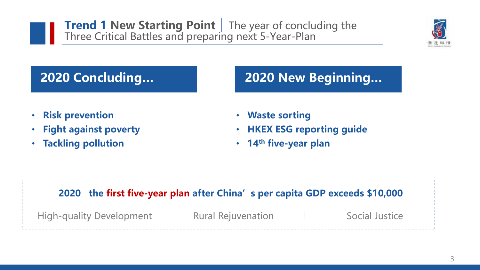**Trend 1 New Starting Point** The year of concluding the Three Critical Battles and preparing next 5-Year-Plan



# **2020 Concluding…**

# **2020 New Beginning…**

- **Risk prevention**
- **Fight against poverty**
- **Tackling pollution**
- **Waste sorting**
- **HKEX ESG reporting guide**
- **14th five-year plan**

### **2020 the first five-year plan after China's per capita GDP exceeds \$10,000**

High-quality Development 1 Rural Rejuvenation 1 Social Justice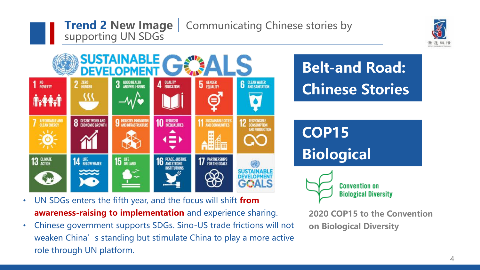## **Trend 2 New Image** | Communicating Chinese stories by supporting UN SDGs





- UN SDGs enters the fifth year, and the focus will shift **from awareness-raising to implementation** and experience sharing.
- Chinese government supports SDGs. Sino-US trade frictions will not weaken China's standing but stimulate China to play a more active role through UN platform.

**2020 COP15 to the Convention**

**on Biological Diversity**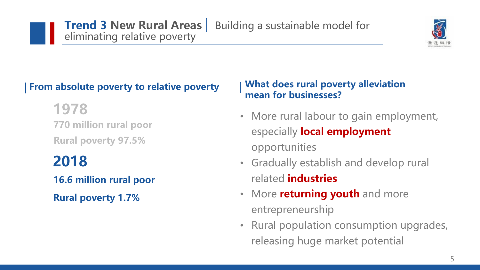

## **From absolute poverty to relative poverty**

**770 million rural poor Rural poverty 97.5% 1978**

# **2018**

**16.6 million rural poor**

**Rural poverty 1.7%**

### **What does rural poverty alleviation mean for businesses?**

- More rural labour to gain employment, especially **local employment**  opportunities
- Gradually establish and develop rural related **industries**
- More **returning youth** and more entrepreneurship
- Rural population consumption upgrades, releasing huge market potential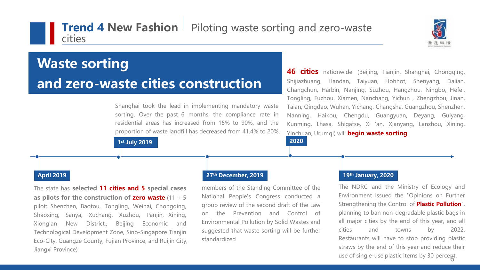### **Trend 4 New Fashion** Piloting waste sorting and zero-waste cities



# **Waste sorting and zero-waste cities construction**

Shanghai took the lead in implementing mandatory waste sorting. Over the past 6 months, the compliance rate in residential areas has increased from 15% to 90%, and the proportion of waste landfill has decreased from 41.4% to 20%. **46 cities** nationwide (Beijing, Tianjin, Shanghai, Chongqing, Shijiazhuang, Handan, Taiyuan, Hohhot, Shenyang, Dalian, Changchun, Harbin, Nanjing, Suzhou, Hangzhou, Ningbo, Hefei, Tongling, Fuzhou, Xiamen, Nanchang, Yichun , Zhengzhou, Jinan, Taian, Qingdao, Wuhan, Yichang, Changsha, Guangzhou, Shenzhen, Nanning, Haikou, Chengdu, Guangyuan, Deyang, Guiyang, Kunming, Lhasa, Shigatse, Xi 'an, Xianyang, Lanzhou, Xining, Yinchuan, Urumqi) will **begin waste sorting**

**1st July 2019 2020**

The state has **selected 11 cities and 5 special cases as pilots for the construction of zero waste** (11 + 5 pilot: Shenzhen, Baotou, Tongling, Weihai, Chongqing, Shaoxing, Sanya, Xuchang, Xuzhou, Panjin, Xining, Xiong'an New District,, Beijing Economic and Technological Development Zone, Sino-Singapore Tianjin Eco-City, Guangze County, Fujian Province, and Ruijin City, Jiangxi Province)

#### **April 2019 27th December, 2019 19th January, 2020**

members of the Standing Committee of the National People's Congress conducted a group review of the second draft of the Law on the Prevention and Control of Environmental Pollution by Solid Wastes and suggested that waste sorting will be further standardized

6 use of single-use plastic items by 30 percent. The NDRC and the Ministry of Ecology and Environment issued the "Opinions on Further Strengthening the Control of **Plastic Pollution**", planning to ban non-degradable plastic bags in all major cities by the end of this year, and all cities and towns by 2022. Restaurants will have to stop providing plastic straws by the end of this year and reduce their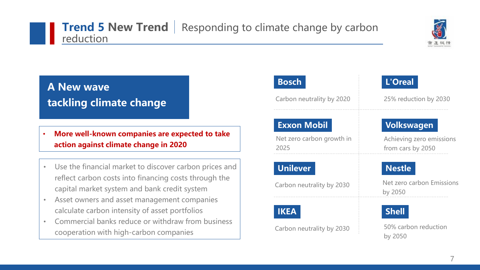# **Trend 5 New Trend** Responding to climate change by carbon reduction



# **A New wave tackling climate change**

- **More well-known companies are expected to take action against climate change in 2020**
- Use the financial market to discover carbon prices and reflect carbon costs into financing costs through the capital market system and bank credit system
- Asset owners and asset management companies calculate carbon intensity of asset portfolios
- Commercial banks reduce or withdraw from business cooperation with high-carbon companies

# **Bosch**

Carbon neutrality by 2020

### **Exxon Mobil**

Net zero carbon growth in 2025

### **Unilever**

Carbon neutrality by 2030

### **IKEA**

Carbon neutrality by 2030

# **L'Oreal**

25% reduction by 2030

### **Volkswagen**

Achieving zero emissions from cars by 2050

### **Nestle**

Net zero carbon Emissions by 2050

# **Shell**

50% carbon reduction by 2050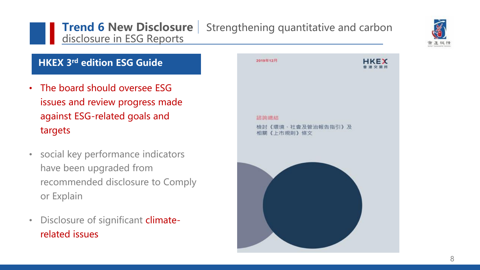# **Trend 6 New Disclosure** Strengthening quantitative and carbon disclosure in ESG Reports



### **HKEX 3rd edition ESG Guide**

- The board should oversee ESG issues and review progress made against ESG-related goals and targets
- social key performance indicators have been upgraded from recommended disclosure to Comply or Explain
- Disclosure of significant climaterelated issues

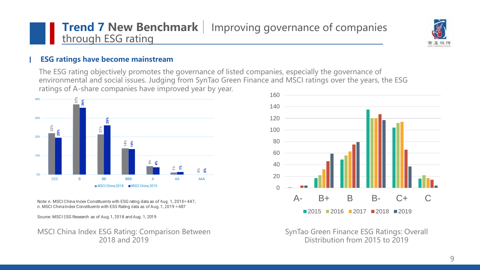## **Trend 7 New Benchmark** | Improving governance of companies through ESG rating



#### **ESG ratings have become mainstream**

The ESG rating objectively promotes the governance of listed companies, especially the governance of environmental and social issues. Judging from SynTao Green Finance and MSCI ratings over the years, the ESG ratings of A-share companies have improved year by year.



Note: n. MSCI China Index Constituents with ESG rating data as of Aug. 1, 2018=447, n. MSCI China Index Constituents with ESG Rating data as of Aug. 1, 2019 = 487

Source: MSCI ESG Research as of Aug.1, 2018 and Aug. 1, 2019

MSCI China Index ESG Rating: Comparison Between 2018 and 2019



SynTao Green Finance ESG Ratings: Overall Distribution from 2015 to 2019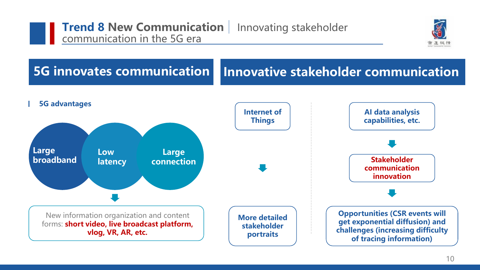



#### **5G innovates communication Innovative stakeholder communication**

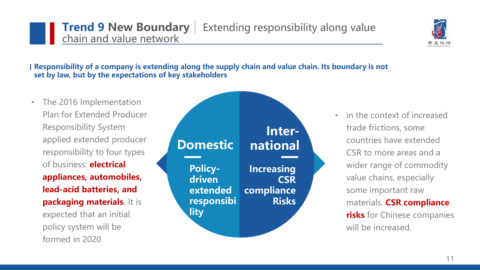### **Trend 9 New Boundary** Extending responsibility along value chain and value network

#### **Responsibility of a company is extending along the supply chain and value chain. Its boundary is not set by law, but by the expectations of key stakeholders**

**Policy-**

**Domestic**

**driven** 

**lity** 

**extended** 

**responsibi**

**Increasing**

**national**

**compliance**

**CSR**

**Inter-**

**Risks**

• The 2016 Implementation Plan for Extended Producer Responsibility System applied extended producer responsibility to four types of business: **electrical appliances, automobiles, lead-acid batteries, and packaging materials**. It is expected that an initial policy system will be formed in 2020

• in the context of increased trade frictions, some countries have extended CSR to more areas and a wider range of commodity value chains, especially some important raw materials. **CSR compliance risks** for Chinese companies will be increased.

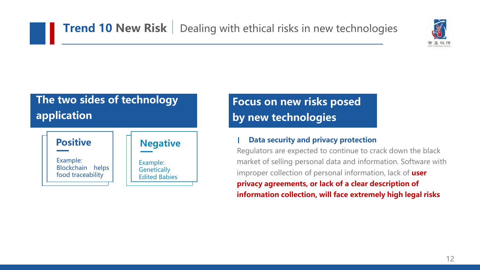

# **The two sides of technology application**



**Focus on new risks posed by new technologies**

#### **Data security and privacy protection**

Regulators are expected to continue to crack down the black market of selling personal data and information. Software with improper collection of personal information, lack of **user privacy agreements, or lack of a clear description of information collection, will face extremely high legal risks**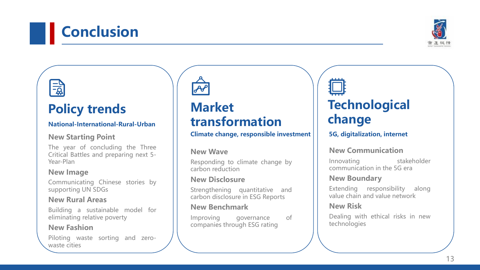# **Conclusion**

# **Policy trends**

#### **National-International-Rural-Urban**

#### **New Starting Point**

The year of concluding the Three Critical Battles and preparing next 5- Year-Plan

#### **New Image**

 $\frac{-b}{2}$ 

Communicating Chinese stories by supporting UN SDGs

#### **New Rural Areas**

Building a sustainable model for eliminating relative poverty

#### **New Fashion**

Piloting waste sorting and zerowaste cities

# **Market transformation**

#### **Climate change, responsible investment**

#### **New Wave**

Responding to climate change by carbon reduction

#### **New Disclosure**

Strengthening quantitative and carbon disclosure in ESG Reports

#### **New Benchmark**

Improving governance of companies through ESG rating

# **Technological change**

#### **5G, digitalization, internet**

#### **New Communication**

Innovating stakeholder communication in the 5G era

#### **New Boundary**

Extending responsibility along value chain and value network

#### **New Risk**

Dealing with ethical risks in new technologies

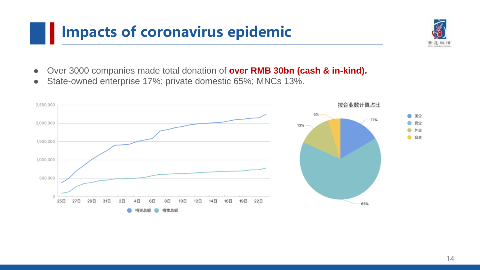# **Impacts of coronavirus epidemic**

- ⚫ Over 3000 companies made total donation of **over RMB 30bn (cash & in-kind).**
- State-owned enterprise 17%; private domestic 65%; MNCs 13%.

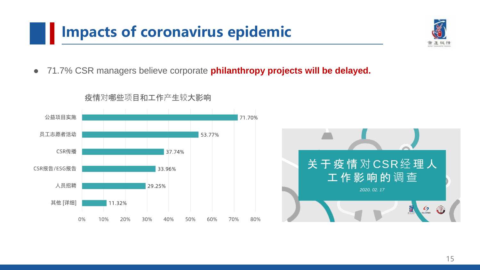# **IMPACTE OF CORD CONTROLS EPIDEMIC**

⚫ 71.7% CSR managers believe corporate **philanthropy projects will be delayed.**



#### 疫情对哪些项目和工作产生较大影响

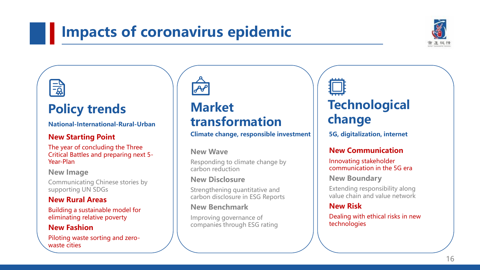# **Impacts of coronavirus epidemic**



# **Policy trends**

**National-International-Rural-Urban**

#### **New Starting Point**

The year of concluding the Three Critical Battles and preparing next 5- Year-Plan

**New Image**

Communicating Chinese stories by supporting UN SDGs

#### **New Rural Areas**

Building a sustainable model for eliminating relative poverty

#### **New Fashion**

Piloting waste sorting and zerowaste cities



# **Market transformation**

#### **Climate change, responsible investment**

#### **New Wave**

Responding to climate change by carbon reduction

#### **New Disclosure**

Strengthening quantitative and carbon disclosure in ESG Reports

#### **New Benchmark**

Improving governance of companies through ESG rating



**5G, digitalization, internet**

#### **New Communication**

Innovating stakeholder communication in the 5G era

**New Boundary**

Extending responsibility along value chain and value network

#### **New Risk**

Dealing with ethical risks in new technologies